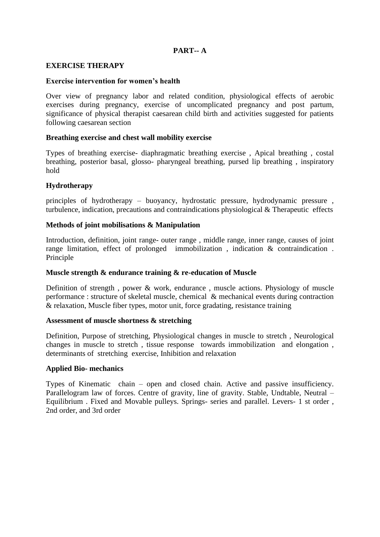# **PART-- A**

#### **EXERCISE THERAPY**

#### **Exercise intervention for women's health**

Over view of pregnancy labor and related condition, physiological effects of aerobic exercises during pregnancy, exercise of uncomplicated pregnancy and post partum, significance of physical therapist caesarean child birth and activities suggested for patients following caesarean section

#### **Breathing exercise and chest wall mobility exercise**

Types of breathing exercise- diaphragmatic breathing exercise , Apical breathing , costal breathing, posterior basal, glosso- pharyngeal breathing, pursed lip breathing , inspiratory hold

### **Hydrotherapy**

principles of hydrotherapy – buoyancy, hydrostatic pressure, hydrodynamic pressure , turbulence, indication, precautions and contraindications physiological & Therapeutic effects

### **Methods of joint mobilisations & Manipulation**

Introduction, definition, joint range- outer range , middle range, inner range, causes of joint range limitation, effect of prolonged immobilization , indication & contraindication . Principle

#### **Muscle strength & endurance training & re-education of Muscle**

Definition of strength , power & work, endurance , muscle actions. Physiology of muscle performance : structure of skeletal muscle, chemical & mechanical events during contraction & relaxation, Muscle fiber types, motor unit, force gradating, resistance training

#### **Assessment of muscle shortness & stretching**

Definition, Purpose of stretching, Physiological changes in muscle to stretch , Neurological changes in muscle to stretch , tissue response towards immobilization and elongation , determinants of stretching exercise, Inhibition and relaxation

### **Applied Bio- mechanics**

Types of Kinematic chain – open and closed chain. Active and passive insufficiency. Parallelogram law of forces. Centre of gravity, line of gravity. Stable, Undtable, Neutral – Equilibrium . Fixed and Movable pulleys. Springs- series and parallel. Levers- 1 st order , 2nd order, and 3rd order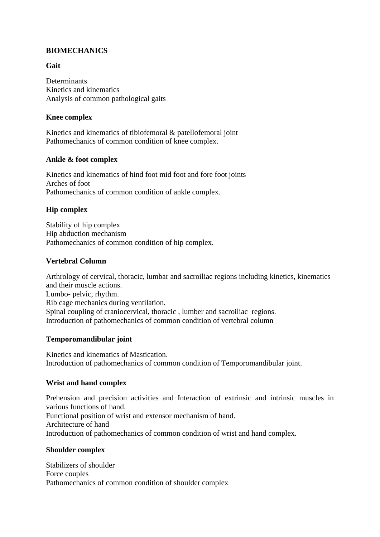# **BIOMECHANICS**

# **Gait**

Determinants Kinetics and kinematics Analysis of common pathological gaits

# **Knee complex**

Kinetics and kinematics of tibiofemoral & patellofemoral joint Pathomechanics of common condition of knee complex.

## **Ankle & foot complex**

Kinetics and kinematics of hind foot mid foot and fore foot joints Arches of foot Pathomechanics of common condition of ankle complex.

## **Hip complex**

Stability of hip complex Hip abduction mechanism Pathomechanics of common condition of hip complex.

## **Vertebral Column**

Arthrology of cervical, thoracic, lumbar and sacroiliac regions including kinetics, kinematics and their muscle actions. Lumbo- pelvic, rhythm. Rib cage mechanics during ventilation. Spinal coupling of craniocervical, thoracic , lumber and sacroiliac regions. Introduction of pathomechanics of common condition of vertebral column

### **Temporomandibular joint**

Kinetics and kinematics of Mastication. Introduction of pathomechanics of common condition of Temporomandibular joint.

### **Wrist and hand complex**

Prehension and precision activities and Interaction of extrinsic and intrinsic muscles in various functions of hand. Functional position of wrist and extensor mechanism of hand. Architecture of hand Introduction of pathomechanics of common condition of wrist and hand complex.

### **Shoulder complex**

Stabilizers of shoulder Force couples Pathomechanics of common condition of shoulder complex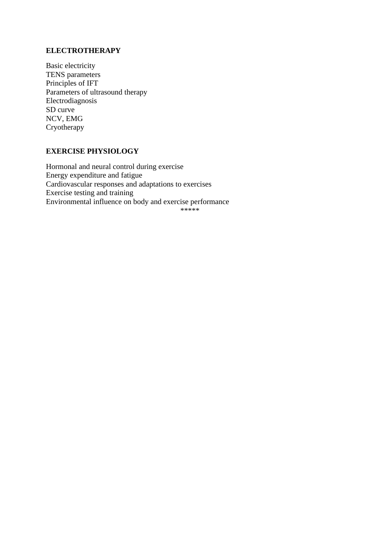# **ELECTROTHERAPY**

Basic electricity TENS parameters Principles of IFT Parameters of ultrasound therapy Electrodiagnosis SD curve NCV, EMG Cryotherapy

## **EXERCISE PHYSIOLOGY**

Hormonal and neural control during exercise Energy expenditure and fatigue Cardiovascular responses and adaptations to exercises Exercise testing and training Environmental influence on body and exercise performance \*\*\*\*\*